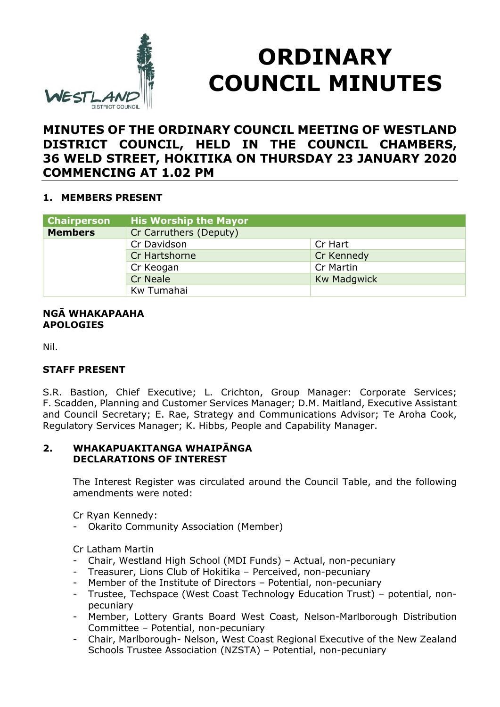

# **ORDINARY COUNCIL MINUTES**

# **MINUTES OF THE ORDINARY COUNCIL MEETING OF WESTLAND DISTRICT COUNCIL, HELD IN THE COUNCIL CHAMBERS, 36 WELD STREET, HOKITIKA ON THURSDAY 23 JANUARY 2020 COMMENCING AT 1.02 PM**

# **1. MEMBERS PRESENT**

| <b>Chairperson</b> | <b>His Worship the Mayor</b> |                    |
|--------------------|------------------------------|--------------------|
| <b>Members</b>     | Cr Carruthers (Deputy)       |                    |
|                    | Cr Davidson                  | Cr Hart            |
|                    | Cr Hartshorne                | Cr Kennedy         |
|                    | Cr Keogan                    | Cr Martin          |
|                    | Cr Neale                     | <b>Kw Madgwick</b> |
|                    | Kw Tumahai                   |                    |

#### **NGĀ WHAKAPAAHA APOLOGIES**

Nil.

# **STAFF PRESENT**

S.R. Bastion, Chief Executive; L. Crichton, Group Manager: Corporate Services; F. Scadden, Planning and Customer Services Manager; D.M. Maitland, Executive Assistant and Council Secretary; E. Rae, Strategy and Communications Advisor; Te Aroha Cook, Regulatory Services Manager; K. Hibbs, People and Capability Manager.

#### **2. WHAKAPUAKITANGA WHAIPĀNGA DECLARATIONS OF INTEREST**

The Interest Register was circulated around the Council Table, and the following amendments were noted:

Cr Ryan Kennedy:

Okarito Community Association (Member)

Cr Latham Martin

- Chair, Westland High School (MDI Funds) Actual, non-pecuniary
- Treasurer, Lions Club of Hokitika Perceived, non-pecuniary
- Member of the Institute of Directors Potential, non-pecuniary
- Trustee, Techspace (West Coast Technology Education Trust) potential, nonpecuniary
- Member, Lottery Grants Board West Coast, Nelson-Marlborough Distribution Committee – Potential, non-pecuniary
- Chair, Marlborough- Nelson, West Coast Regional Executive of the New Zealand Schools Trustee Association (NZSTA) – Potential, non-pecuniary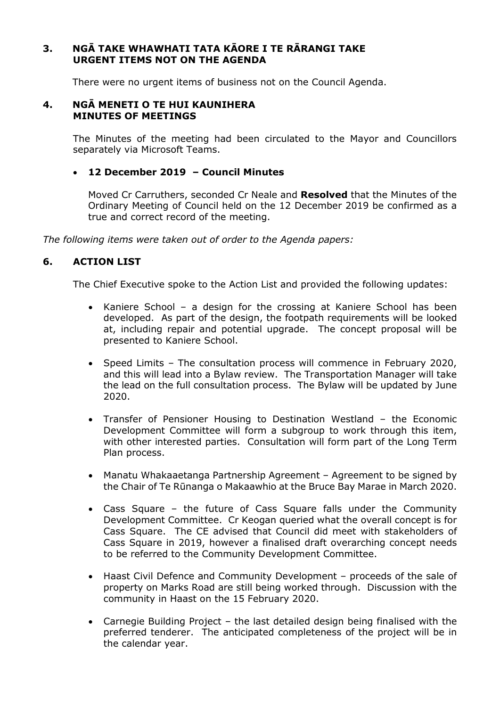#### **3. NGĀ TAKE WHAWHATI TATA KĀORE I TE RĀRANGI TAKE URGENT ITEMS NOT ON THE AGENDA**

There were no urgent items of business not on the Council Agenda.

#### **4. NGĀ MENETI O TE HUI KAUNIHERA MINUTES OF MEETINGS**

The Minutes of the meeting had been circulated to the Mayor and Councillors separately via Microsoft Teams.

#### **12 December 2019 – Council Minutes**

Moved Cr Carruthers, seconded Cr Neale and **Resolved** that the Minutes of the Ordinary Meeting of Council held on the 12 December 2019 be confirmed as a true and correct record of the meeting.

*The following items were taken out of order to the Agenda papers:*

#### **6. ACTION LIST**

The Chief Executive spoke to the Action List and provided the following updates:

- Kaniere School a design for the crossing at Kaniere School has been developed. As part of the design, the footpath requirements will be looked at, including repair and potential upgrade. The concept proposal will be presented to Kaniere School.
- Speed Limits The consultation process will commence in February 2020, and this will lead into a Bylaw review. The Transportation Manager will take the lead on the full consultation process. The Bylaw will be updated by June 2020.
- Transfer of Pensioner Housing to Destination Westland the Economic Development Committee will form a subgroup to work through this item, with other interested parties. Consultation will form part of the Long Term Plan process.
- Manatu Whakaaetanga Partnership Agreement Agreement to be signed by the Chair of Te Rūnanga o Makaawhio at the Bruce Bay Marae in March 2020.
- Cass Square the future of Cass Square falls under the Community Development Committee. Cr Keogan queried what the overall concept is for Cass Square. The CE advised that Council did meet with stakeholders of Cass Square in 2019, however a finalised draft overarching concept needs to be referred to the Community Development Committee.
- Haast Civil Defence and Community Development proceeds of the sale of property on Marks Road are still being worked through. Discussion with the community in Haast on the 15 February 2020.
- Carnegie Building Project the last detailed design being finalised with the preferred tenderer. The anticipated completeness of the project will be in the calendar year.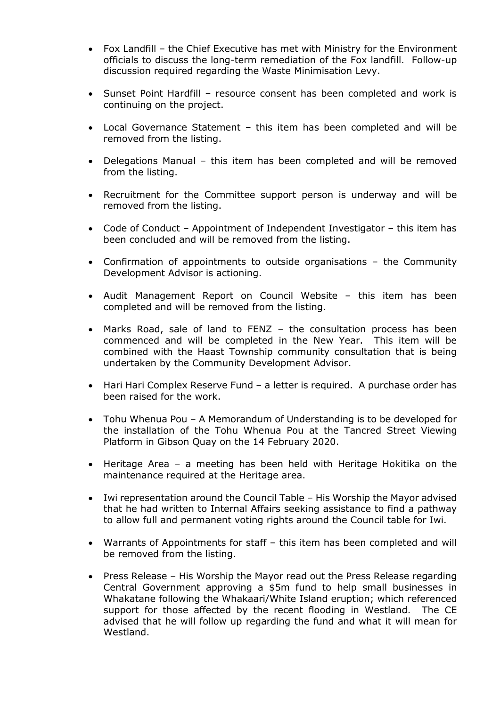- Fox Landfill the Chief Executive has met with Ministry for the Environment officials to discuss the long-term remediation of the Fox landfill. Follow-up discussion required regarding the Waste Minimisation Levy.
- Sunset Point Hardfill resource consent has been completed and work is continuing on the project.
- Local Governance Statement this item has been completed and will be removed from the listing.
- Delegations Manual this item has been completed and will be removed from the listing.
- Recruitment for the Committee support person is underway and will be removed from the listing.
- Code of Conduct Appointment of Independent Investigator this item has been concluded and will be removed from the listing.
- Confirmation of appointments to outside organisations the Community Development Advisor is actioning.
- Audit Management Report on Council Website this item has been completed and will be removed from the listing.
- Marks Road, sale of land to FENZ the consultation process has been commenced and will be completed in the New Year. This item will be combined with the Haast Township community consultation that is being undertaken by the Community Development Advisor.
- Hari Hari Complex Reserve Fund a letter is required. A purchase order has been raised for the work.
- Tohu Whenua Pou A Memorandum of Understanding is to be developed for the installation of the Tohu Whenua Pou at the Tancred Street Viewing Platform in Gibson Quay on the 14 February 2020.
- Heritage Area a meeting has been held with Heritage Hokitika on the maintenance required at the Heritage area.
- Iwi representation around the Council Table His Worship the Mayor advised that he had written to Internal Affairs seeking assistance to find a pathway to allow full and permanent voting rights around the Council table for Iwi.
- Warrants of Appointments for staff this item has been completed and will be removed from the listing.
- Press Release His Worship the Mayor read out the Press Release regarding Central Government approving a \$5m fund to help small businesses in Whakatane following the Whakaari/White Island eruption; which referenced support for those affected by the recent flooding in Westland. The CE advised that he will follow up regarding the fund and what it will mean for Westland.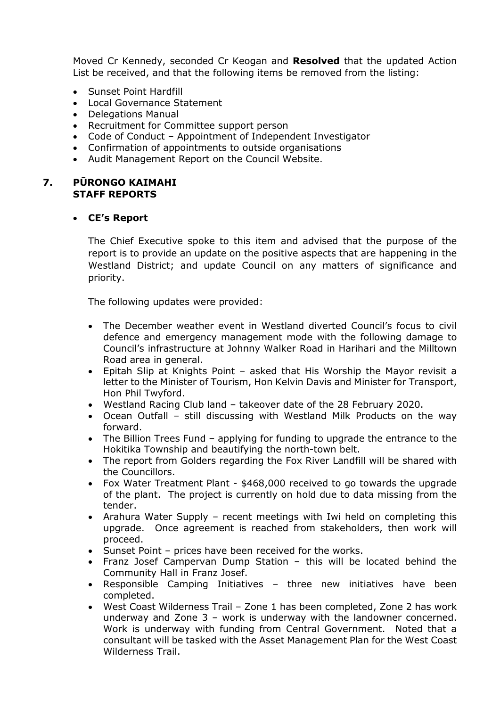Moved Cr Kennedy, seconded Cr Keogan and **Resolved** that the updated Action List be received, and that the following items be removed from the listing:

- Sunset Point Hardfill
- Local Governance Statement
- Delegations Manual
- Recruitment for Committee support person
- Code of Conduct Appointment of Independent Investigator
- Confirmation of appointments to outside organisations
- Audit Management Report on the Council Website.

#### **7. PŪRONGO KAIMAHI STAFF REPORTS**

#### **CE's Report**

The Chief Executive spoke to this item and advised that the purpose of the report is to provide an update on the positive aspects that are happening in the Westland District; and update Council on any matters of significance and priority.

The following updates were provided:

- The December weather event in Westland diverted Council's focus to civil defence and emergency management mode with the following damage to Council's infrastructure at Johnny Walker Road in Harihari and the Milltown Road area in general.
- Epitah Slip at Knights Point asked that His Worship the Mayor revisit a letter to the Minister of Tourism, Hon Kelvin Davis and Minister for Transport, Hon Phil Twyford.
- Westland Racing Club land takeover date of the 28 February 2020.
- Ocean Outfall still discussing with Westland Milk Products on the way forward.
- The Billion Trees Fund applying for funding to upgrade the entrance to the Hokitika Township and beautifying the north-town belt.
- The report from Golders regarding the Fox River Landfill will be shared with the Councillors.
- Fox Water Treatment Plant \$468,000 received to go towards the upgrade of the plant. The project is currently on hold due to data missing from the tender.
- Arahura Water Supply recent meetings with Iwi held on completing this upgrade. Once agreement is reached from stakeholders, then work will proceed.
- Sunset Point prices have been received for the works.
- Franz Josef Campervan Dump Station this will be located behind the Community Hall in Franz Josef.
- Responsible Camping Initiatives three new initiatives have been completed.
- West Coast Wilderness Trail Zone 1 has been completed, Zone 2 has work underway and Zone 3 – work is underway with the landowner concerned. Work is underway with funding from Central Government. Noted that a consultant will be tasked with the Asset Management Plan for the West Coast Wilderness Trail.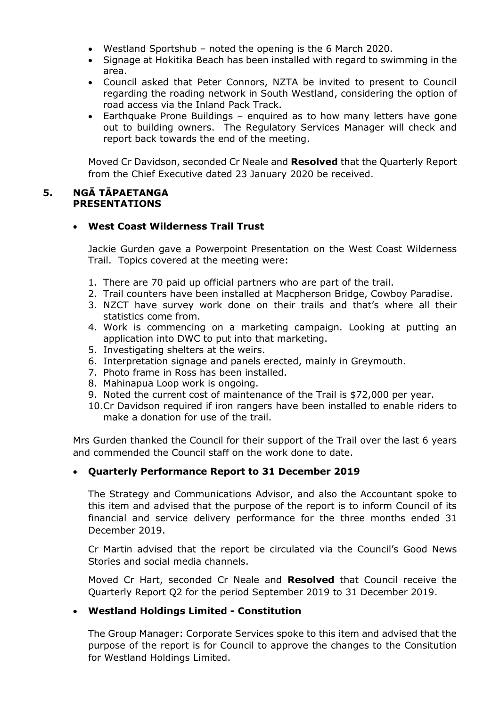- Westland Sportshub noted the opening is the 6 March 2020.
- Signage at Hokitika Beach has been installed with regard to swimming in the area.
- Council asked that Peter Connors, NZTA be invited to present to Council regarding the roading network in South Westland, considering the option of road access via the Inland Pack Track.
- Earthquake Prone Buildings enquired as to how many letters have gone out to building owners. The Regulatory Services Manager will check and report back towards the end of the meeting.

Moved Cr Davidson, seconded Cr Neale and **Resolved** that the Quarterly Report from the Chief Executive dated 23 January 2020 be received.

#### **5. NGĀ TĀPAETANGA PRESENTATIONS**

#### **West Coast Wilderness Trail Trust**

Jackie Gurden gave a Powerpoint Presentation on the West Coast Wilderness Trail. Topics covered at the meeting were:

- 1. There are 70 paid up official partners who are part of the trail.
- 2. Trail counters have been installed at Macpherson Bridge, Cowboy Paradise.
- 3. NZCT have survey work done on their trails and that's where all their statistics come from.
- 4. Work is commencing on a marketing campaign. Looking at putting an application into DWC to put into that marketing.
- 5. Investigating shelters at the weirs.
- 6. Interpretation signage and panels erected, mainly in Greymouth.
- 7. Photo frame in Ross has been installed.
- 8. Mahinapua Loop work is ongoing.
- 9. Noted the current cost of maintenance of the Trail is \$72,000 per year.
- 10.Cr Davidson required if iron rangers have been installed to enable riders to make a donation for use of the trail.

Mrs Gurden thanked the Council for their support of the Trail over the last 6 years and commended the Council staff on the work done to date.

#### **Quarterly Performance Report to 31 December 2019**

The Strategy and Communications Advisor, and also the Accountant spoke to this item and advised that the purpose of the report is to inform Council of its financial and service delivery performance for the three months ended 31 December 2019.

Cr Martin advised that the report be circulated via the Council's Good News Stories and social media channels.

Moved Cr Hart, seconded Cr Neale and **Resolved** that Council receive the Quarterly Report Q2 for the period September 2019 to 31 December 2019.

#### **Westland Holdings Limited - Constitution**

The Group Manager: Corporate Services spoke to this item and advised that the purpose of the report is for Council to approve the changes to the Consitution for Westland Holdings Limited.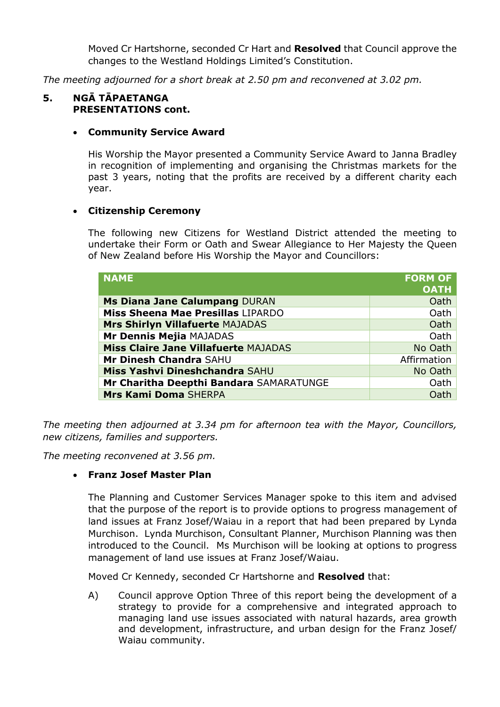Moved Cr Hartshorne, seconded Cr Hart and **Resolved** that Council approve the changes to the Westland Holdings Limited's Constitution.

*The meeting adjourned for a short break at 2.50 pm and reconvened at 3.02 pm.*

#### **5. NGĀ TĀPAETANGA PRESENTATIONS cont.**

#### **Community Service Award**

His Worship the Mayor presented a Community Service Award to Janna Bradley in recognition of implementing and organising the Christmas markets for the past 3 years, noting that the profits are received by a different charity each year.

#### **Citizenship Ceremony**

The following new Citizens for Westland District attended the meeting to undertake their Form or Oath and Swear Allegiance to Her Majesty the Queen of New Zealand before His Worship the Mayor and Councillors:

| <b>NAME</b>                                 | <b>FORM OF</b><br><b>OATH</b> |
|---------------------------------------------|-------------------------------|
| Ms Diana Jane Calumpang DURAN               | Oath                          |
| Miss Sheena Mae Presillas LIPARDO           | Oath                          |
| <b>Mrs Shirlyn Villafuerte MAJADAS</b>      | Oath                          |
| Mr Dennis Mejia MAJADAS                     | Oath                          |
| <b>Miss Claire Jane Villafuerte MAJADAS</b> | No Oath                       |
| Mr Dinesh Chandra SAHU                      | Affirmation                   |
| Miss Yashvi Dineshchandra SAHU              | No Oath                       |
| Mr Charitha Deepthi Bandara SAMARATUNGE     | Oath                          |
| Mrs Kami Doma SHERPA                        | Oath                          |

*The meeting then adjourned at 3.34 pm for afternoon tea with the Mayor, Councillors, new citizens, families and supporters.*

*The meeting reconvened at 3.56 pm.*

#### **Franz Josef Master Plan**

The Planning and Customer Services Manager spoke to this item and advised that the purpose of the report is to provide options to progress management of land issues at Franz Josef/Waiau in a report that had been prepared by Lynda Murchison. Lynda Murchison, Consultant Planner, Murchison Planning was then introduced to the Council. Ms Murchison will be looking at options to progress management of land use issues at Franz Josef/Waiau.

Moved Cr Kennedy, seconded Cr Hartshorne and **Resolved** that:

A) Council approve Option Three of this report being the development of a strategy to provide for a comprehensive and integrated approach to managing land use issues associated with natural hazards, area growth and development, infrastructure, and urban design for the Franz Josef/ Waiau community.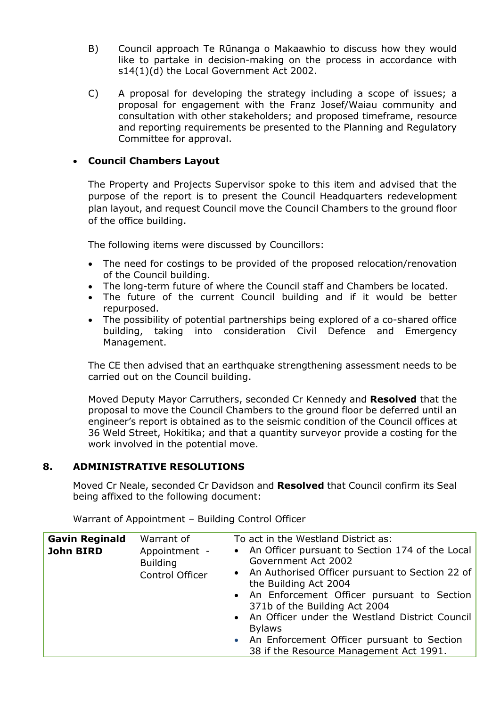- B) Council approach Te Rūnanga o Makaawhio to discuss how they would like to partake in decision-making on the process in accordance with s14(1)(d) the Local Government Act 2002.
- C) A proposal for developing the strategy including a scope of issues; a proposal for engagement with the Franz Josef/Waiau community and consultation with other stakeholders; and proposed timeframe, resource and reporting requirements be presented to the Planning and Regulatory Committee for approval.

## **Council Chambers Layout**

The Property and Projects Supervisor spoke to this item and advised that the purpose of the report is to present the Council Headquarters redevelopment plan layout, and request Council move the Council Chambers to the ground floor of the office building.

The following items were discussed by Councillors:

- The need for costings to be provided of the proposed relocation/renovation of the Council building.
- The long-term future of where the Council staff and Chambers be located.
- The future of the current Council building and if it would be better repurposed.
- The possibility of potential partnerships being explored of a co-shared office building, taking into consideration Civil Defence and Emergency Management.

The CE then advised that an earthquake strengthening assessment needs to be carried out on the Council building.

Moved Deputy Mayor Carruthers, seconded Cr Kennedy and **Resolved** that the proposal to move the Council Chambers to the ground floor be deferred until an engineer's report is obtained as to the seismic condition of the Council offices at 36 Weld Street, Hokitika; and that a quantity surveyor provide a costing for the work involved in the potential move.

#### **8. ADMINISTRATIVE RESOLUTIONS**

Moved Cr Neale, seconded Cr Davidson and **Resolved** that Council confirm its Seal being affixed to the following document:

| <b>Gavin Reginald</b><br><b>John BIRD</b> | Warrant of<br>Appointment -<br><b>Building</b><br>Control Officer | To act in the Westland District as:<br>• An Officer pursuant to Section 174 of the Local<br>Government Act 2002<br>• An Authorised Officer pursuant to Section 22 of<br>the Building Act 2004<br>• An Enforcement Officer pursuant to Section<br>371b of the Building Act 2004<br>• An Officer under the Westland District Council<br><b>Bylaws</b> |
|-------------------------------------------|-------------------------------------------------------------------|-----------------------------------------------------------------------------------------------------------------------------------------------------------------------------------------------------------------------------------------------------------------------------------------------------------------------------------------------------|
|                                           |                                                                   | • An Enforcement Officer pursuant to Section<br>38 if the Resource Management Act 1991.                                                                                                                                                                                                                                                             |

Warrant of Appointment – Building Control Officer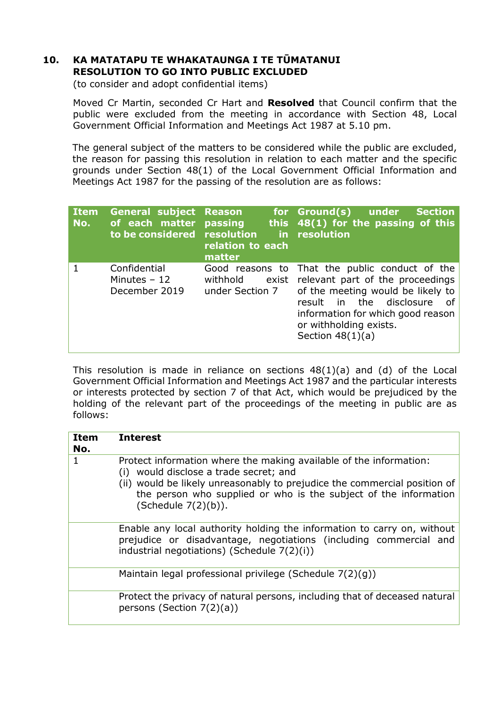# **10. KA MATATAPU TE WHAKATAUNGA I TE TŪMATANUI RESOLUTION TO GO INTO PUBLIC EXCLUDED**

(to consider and adopt confidential items)

Moved Cr Martin, seconded Cr Hart and **Resolved** that Council confirm that the public were excluded from the meeting in accordance with Section 48, Local Government Official Information and Meetings Act 1987 at 5.10 pm.

The general subject of the matters to be considered while the public are excluded, the reason for passing this resolution in relation to each matter and the specific grounds under Section 48(1) of the Local Government Official Information and Meetings Act 1987 for the passing of the resolution are as follows:

| <b>Item</b><br>No. | <b>General subject Reason</b><br>of each matter<br>to be considered resolution | <b>passing</b><br>relation to each<br>matter   | for Ground(s) under<br><b>Section</b><br>this $48(1)$ for the passing of this<br>in resolution                                                                                                                                       |
|--------------------|--------------------------------------------------------------------------------|------------------------------------------------|--------------------------------------------------------------------------------------------------------------------------------------------------------------------------------------------------------------------------------------|
|                    | Confidential<br>Minutes $-12$<br>December 2019                                 | Good reasons to<br>withhold<br>under Section 7 | That the public conduct of the<br>exist relevant part of the proceedings<br>of the meeting would be likely to<br>result in the disclosure<br>0f<br>information for which good reason<br>or withholding exists.<br>Section $48(1)(a)$ |

This resolution is made in reliance on sections  $48(1)(a)$  and (d) of the Local Government Official Information and Meetings Act 1987 and the particular interests or interests protected by section 7 of that Act, which would be prejudiced by the holding of the relevant part of the proceedings of the meeting in public are as follows:

| <b>Item</b><br>No. | <b>Interest</b>                                                                                                                                                                                                                                                                      |
|--------------------|--------------------------------------------------------------------------------------------------------------------------------------------------------------------------------------------------------------------------------------------------------------------------------------|
| 1                  | Protect information where the making available of the information:<br>(i) would disclose a trade secret; and<br>(ii) would be likely unreasonably to prejudice the commercial position of<br>the person who supplied or who is the subject of the information<br>(Schedule 7(2)(b)). |
|                    | Enable any local authority holding the information to carry on, without<br>prejudice or disadvantage, negotiations (including commercial and<br>industrial negotiations) (Schedule 7(2)(i))                                                                                          |
|                    | Maintain legal professional privilege (Schedule $7(2)(q)$ )                                                                                                                                                                                                                          |
|                    | Protect the privacy of natural persons, including that of deceased natural<br>persons (Section $7(2)(a)$ )                                                                                                                                                                           |